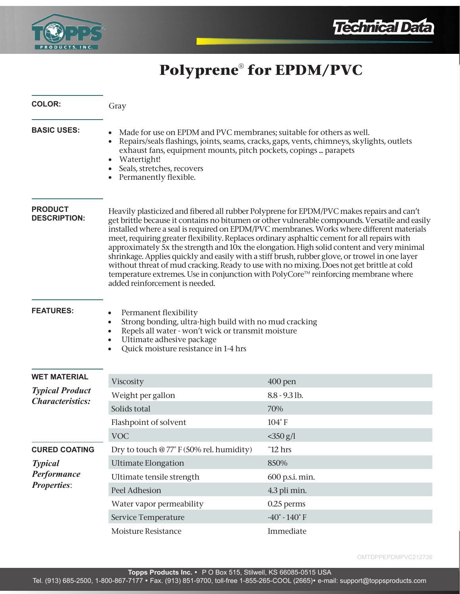



# **Polyprene® for EPDM/PVC**

| <b>COLOR:</b>                                              | Gray                                                                                                                                                                                                                                                                                                                                                                                                                                                                                                                                                                                                                                                                                                                                                                                                         |                                   |
|------------------------------------------------------------|--------------------------------------------------------------------------------------------------------------------------------------------------------------------------------------------------------------------------------------------------------------------------------------------------------------------------------------------------------------------------------------------------------------------------------------------------------------------------------------------------------------------------------------------------------------------------------------------------------------------------------------------------------------------------------------------------------------------------------------------------------------------------------------------------------------|-----------------------------------|
| <b>BASIC USES:</b>                                         | Made for use on EPDM and PVC membranes; suitable for others as well.<br>Repairs/seals flashings, joints, seams, cracks, gaps, vents, chimneys, skylights, outlets<br>exhaust fans, equipment mounts, pitch pockets, copings  parapets<br>Watertight!<br>Seals, stretches, recovers<br>Permanently flexible.                                                                                                                                                                                                                                                                                                                                                                                                                                                                                                  |                                   |
| <b>PRODUCT</b><br><b>DESCRIPTION:</b>                      | Heavily plasticized and fibered all rubber Polyprene for EPDM/PVC makes repairs and can't<br>get brittle because it contains no bitumen or other vulnerable compounds. Versatile and easily<br>installed where a seal is required on EPDM/PVC membranes. Works where different materials<br>meet, requiring greater flexibility. Replaces ordinary asphaltic cement for all repairs with<br>approximately 5x the strength and 10x the elongation. High solid content and very minimal<br>shrinkage. Applies quickly and easily with a stiff brush, rubber glove, or trowel in one layer<br>without threat of mud cracking. Ready to use with no mixing. Does not get brittle at cold<br>temperature extremes. Use in conjunction with PolyCore™ reinforcing membrane where<br>added reinforcement is needed. |                                   |
| <b>FEATURES:</b>                                           | Permanent flexibility<br>Strong bonding, ultra-high build with no mud cracking<br>Repels all water - won't wick or transmit moisture<br>Ultimate adhesive package<br>Quick moisture resistance in 1-4 hrs                                                                                                                                                                                                                                                                                                                                                                                                                                                                                                                                                                                                    |                                   |
| <b>WET MATERIAL</b>                                        |                                                                                                                                                                                                                                                                                                                                                                                                                                                                                                                                                                                                                                                                                                                                                                                                              |                                   |
| <b>Typical Product</b><br><b>Characteristics:</b>          | Viscosity<br>Weight per gallon                                                                                                                                                                                                                                                                                                                                                                                                                                                                                                                                                                                                                                                                                                                                                                               | $400$ pen<br>8.8 - 9.3 lb.        |
|                                                            | Solids total                                                                                                                                                                                                                                                                                                                                                                                                                                                                                                                                                                                                                                                                                                                                                                                                 | 70%                               |
|                                                            | Flashpoint of solvent                                                                                                                                                                                                                                                                                                                                                                                                                                                                                                                                                                                                                                                                                                                                                                                        | $104^\circ$ F                     |
|                                                            | <b>VOC</b>                                                                                                                                                                                                                                                                                                                                                                                                                                                                                                                                                                                                                                                                                                                                                                                                   | $<$ 350 g/l                       |
| <b>CURED COATING</b>                                       | Dry to touch @ 77° F (50% rel. humidity)                                                                                                                                                                                                                                                                                                                                                                                                                                                                                                                                                                                                                                                                                                                                                                     | $\tilde{}12$ hrs                  |
| <b>Typical</b><br><b>Performance</b><br><b>Properties:</b> | <b>Ultimate Elongation</b>                                                                                                                                                                                                                                                                                                                                                                                                                                                                                                                                                                                                                                                                                                                                                                                   | 850%                              |
|                                                            | Ultimate tensile strength                                                                                                                                                                                                                                                                                                                                                                                                                                                                                                                                                                                                                                                                                                                                                                                    | 600 p.s.i. min.                   |
|                                                            | Peel Adhesion                                                                                                                                                                                                                                                                                                                                                                                                                                                                                                                                                                                                                                                                                                                                                                                                | 4.3 pli min.                      |
|                                                            | Water vapor permeability                                                                                                                                                                                                                                                                                                                                                                                                                                                                                                                                                                                                                                                                                                                                                                                     | 0.25 perms                        |
|                                                            | Service Temperature                                                                                                                                                                                                                                                                                                                                                                                                                                                                                                                                                                                                                                                                                                                                                                                          | -40 $^{\circ}$ - 140 $^{\circ}$ F |
|                                                            | Moisture Resistance                                                                                                                                                                                                                                                                                                                                                                                                                                                                                                                                                                                                                                                                                                                                                                                          | Immediate                         |

OMTDPPEPDMPVC212726